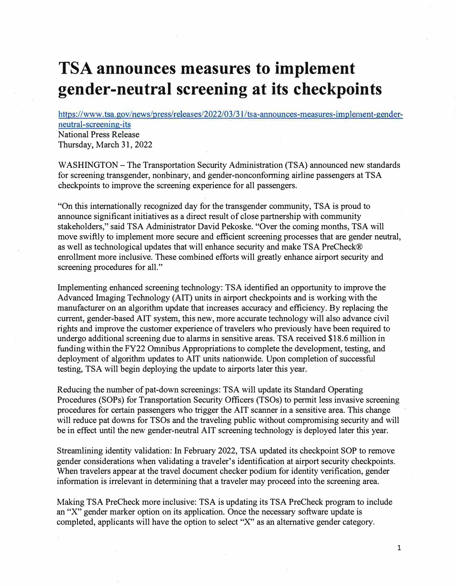## **TSA announces measures to implement gender-neutral screening at its checkpoints**

https://www.tsa.gov/news/press/releases/2022/03/3 l/tsa-announces-measures-implement-genderneutral-screening-its National Press Release

Thursday, March 31, 2022

WASHINGTON - The Transportation Security Administration (TSA) announced new standards for screening transgender, nonbinary, and gender-nonconforming airline passengers at TSA checkpoints to improve the screening experience for all passengers.

"On this internationally recognized day for the transgender community, TSA is proud to announce significant initiatives as a direct result of close partnership with community stakeholders," said TSA Administrator David Pekoske. "Over the coming months, TSA will move swiftly to implement more secure and efficient screening processes that are gender neutral, as well as technological updates that will enhance security and make TSA PreCheck® enrollment more inclusive. These combined efforts will greatly enhance airport security and screening procedures for all."

Implementing enhanced screening technology: TSA identified an opportunity to improve the Advanced Imaging Technology (AIT) units in airport checkpoints and is working with the manufacturer on an algorithm update that increases accuracy and efficiency. By replacing the current, gender-based AIT system, this new, more accurate technology will also advance civil rights and improve the customer experience of travelers who previously have been required to undergo additional screening due to alarms in sensitive areas. TSA received \$18.6 million in funding within the FY22 Omnibus Appropriations to complete the development, testing, and deployment of algorithm updates to AIT units nationwide. Upon completion of successful testing, TSA will begin deploying the update to airports later this year.

Reducing the number of pat-down screenings: TSA will update its Standard Operating Procedures (SOPs) for Transportation Security Officers (TSOs) to permit less invasive screening procedures for certain passengers who trigger the AIT scanner in a sensitive area. This change will reduce pat downs for TSOs and the traveling public without compromising security and will be in effect until the new gender-neutral AIT screening technology is deployed later this year.

Streamlining identity validation: In February 2022, TSA updated its checkpoint SOP to remove gender considerations when validating a traveler's identification at airport security checkpoints. When travelers appear at the travel document checker podium for identity verification, gender information is irrelevant in determining that a traveler may proceed into the screening area.

Making TSA PreCheck more inclusive: TSA is updating its TSA PreCheck program to include an "X" gender marker option on its application. Once the necessary software update is completed, applicants will have the option to select "X" as an alternative gender category.

1